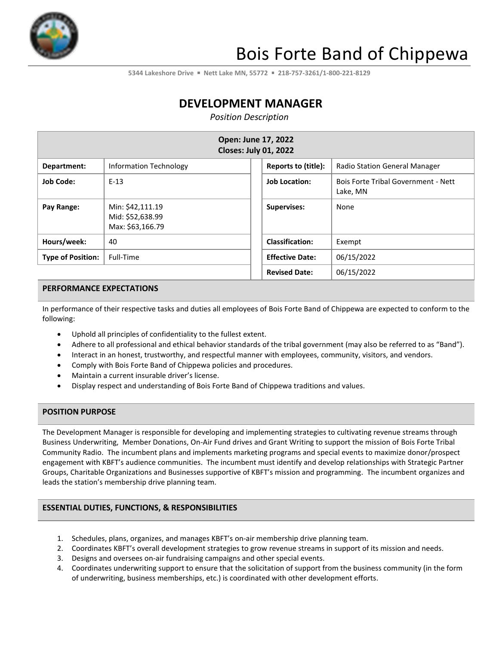

# Bois Forte Band of Chippewa

**5344 Lakeshore Drive** ▪ **Nett Lake MN, 55772** ▪ **218-757-3261/1-800-221-8129**

## **DEVELOPMENT MANAGER**

*Position Description*

| Open: June 17, 2022<br><b>Closes: July 01, 2022</b> |                                                          |                        |                                                        |  |  |
|-----------------------------------------------------|----------------------------------------------------------|------------------------|--------------------------------------------------------|--|--|
| Department:                                         | Information Technology                                   | Reports to (title):    | <b>Radio Station General Manager</b>                   |  |  |
| <b>Job Code:</b>                                    | $E-13$                                                   | <b>Job Location:</b>   | <b>Bois Forte Tribal Government - Nett</b><br>Lake, MN |  |  |
| Pay Range:                                          | Min: \$42,111.19<br>Mid: \$52,638.99<br>Max: \$63,166.79 | <b>Supervises:</b>     | None                                                   |  |  |
| Hours/week:                                         | 40                                                       | <b>Classification:</b> | Exempt                                                 |  |  |
| <b>Type of Position:</b>                            | Full-Time                                                | <b>Effective Date:</b> | 06/15/2022                                             |  |  |
|                                                     |                                                          | <b>Revised Date:</b>   | 06/15/2022                                             |  |  |

### **PERFORMANCE EXPECTATIONS**

In performance of their respective tasks and duties all employees of Bois Forte Band of Chippewa are expected to conform to the following:

- Uphold all principles of confidentiality to the fullest extent.
- Adhere to all professional and ethical behavior standards of the tribal government (may also be referred to as "Band").
- Interact in an honest, trustworthy, and respectful manner with employees, community, visitors, and vendors.
- Comply with Bois Forte Band of Chippewa policies and procedures.
- Maintain a current insurable driver's license.
- Display respect and understanding of Bois Forte Band of Chippewa traditions and values.

### **POSITION PURPOSE**

The Development Manager is responsible for developing and implementing strategies to cultivating revenue streams through Business Underwriting, Member Donations, On-Air Fund drives and Grant Writing to support the mission of Bois Forte Tribal Community Radio. The incumbent plans and implements marketing programs and special events to maximize donor/prospect engagement with KBFT's audience communities. The incumbent must identify and develop relationships with Strategic Partner Groups, Charitable Organizations and Businesses supportive of KBFT's mission and programming. The incumbent organizes and leads the station's membership drive planning team.

### **ESSENTIAL DUTIES, FUNCTIONS, & RESPONSIBILITIES**

- 1. Schedules, plans, organizes, and manages KBFT's on-air membership drive planning team.
- 2. Coordinates KBFT's overall development strategies to grow revenue streams in support of its mission and needs.
- 3. Designs and oversees on-air fundraising campaigns and other special events.
- 4. Coordinates underwriting support to ensure that the solicitation of support from the business community (in the form of underwriting, business memberships, etc.) is coordinated with other development efforts.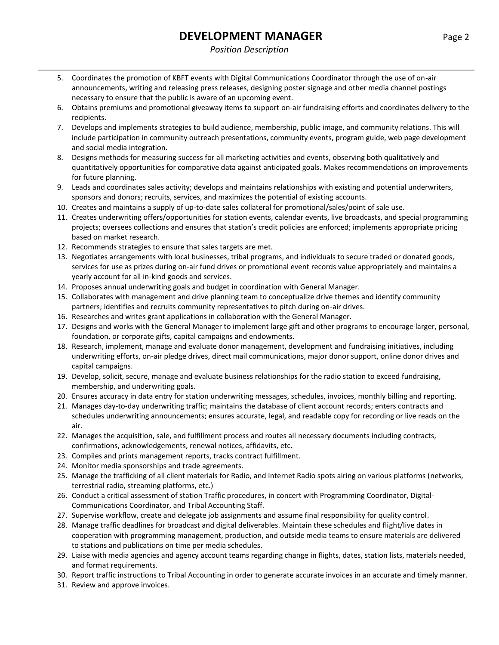### *Position Description*

- 5. Coordinates the promotion of KBFT events with Digital Communications Coordinator through the use of on-air announcements, writing and releasing press releases, designing poster signage and other media channel postings necessary to ensure that the public is aware of an upcoming event.
- 6. Obtains premiums and promotional giveaway items to support on-air fundraising efforts and coordinates delivery to the recipients.
- 7. Develops and implements strategies to build audience, membership, public image, and community relations. This will include participation in community outreach presentations, community events, program guide, web page development and social media integration.
- 8. Designs methods for measuring success for all marketing activities and events, observing both qualitatively and quantitatively opportunities for comparative data against anticipated goals. Makes recommendations on improvements for future planning.
- 9. Leads and coordinates sales activity; develops and maintains relationships with existing and potential underwriters, sponsors and donors; recruits, services, and maximizes the potential of existing accounts.
- 10. Creates and maintains a supply of up-to-date sales collateral for promotional/sales/point of sale use.
- 11. Creates underwriting offers/opportunities for station events, calendar events, live broadcasts, and special programming projects; oversees collections and ensures that station's credit policies are enforced; implements appropriate pricing based on market research.
- 12. Recommends strategies to ensure that sales targets are met.
- 13. Negotiates arrangements with local businesses, tribal programs, and individuals to secure traded or donated goods, services for use as prizes during on-air fund drives or promotional event records value appropriately and maintains a yearly account for all in-kind goods and services.
- 14. Proposes annual underwriting goals and budget in coordination with General Manager.
- 15. Collaborates with management and drive planning team to conceptualize drive themes and identify community partners; identifies and recruits community representatives to pitch during on-air drives.
- 16. Researches and writes grant applications in collaboration with the General Manager.
- 17. Designs and works with the General Manager to implement large gift and other programs to encourage larger, personal, foundation, or corporate gifts, capital campaigns and endowments.
- 18. Research, implement, manage and evaluate donor management, development and fundraising initiatives, including underwriting efforts, on-air pledge drives, direct mail communications, major donor support, online donor drives and capital campaigns.
- 19. Develop, solicit, secure, manage and evaluate business relationships for the radio station to exceed fundraising, membership, and underwriting goals.
- 20. Ensures accuracy in data entry for station underwriting messages, schedules, invoices, monthly billing and reporting.
- 21. Manages day-to-day underwriting traffic; maintains the database of client account records; enters contracts and schedules underwriting announcements; ensures accurate, legal, and readable copy for recording or live reads on the air.
- 22. Manages the acquisition, sale, and fulfillment process and routes all necessary documents including contracts, confirmations, acknowledgements, renewal notices, affidavits, etc.
- 23. Compiles and prints management reports, tracks contract fulfillment.
- 24. Monitor media sponsorships and trade agreements.
- 25. Manage the trafficking of all client materials for Radio, and Internet Radio spots airing on various platforms (networks, terrestrial radio, streaming platforms, etc.)
- 26. Conduct a critical assessment of station Traffic procedures, in concert with Programming Coordinator, Digital-Communications Coordinator, and Tribal Accounting Staff.
- 27. Supervise workflow, create and delegate job assignments and assume final responsibility for quality control.
- 28. Manage traffic deadlines for broadcast and digital deliverables. Maintain these schedules and flight/live dates in cooperation with programming management, production, and outside media teams to ensure materials are delivered to stations and publications on time per media schedules.
- 29. Liaise with media agencies and agency account teams regarding change in flights, dates, station lists, materials needed, and format requirements.
- 30. Report traffic instructions to Tribal Accounting in order to generate accurate invoices in an accurate and timely manner.
- 31. Review and approve invoices.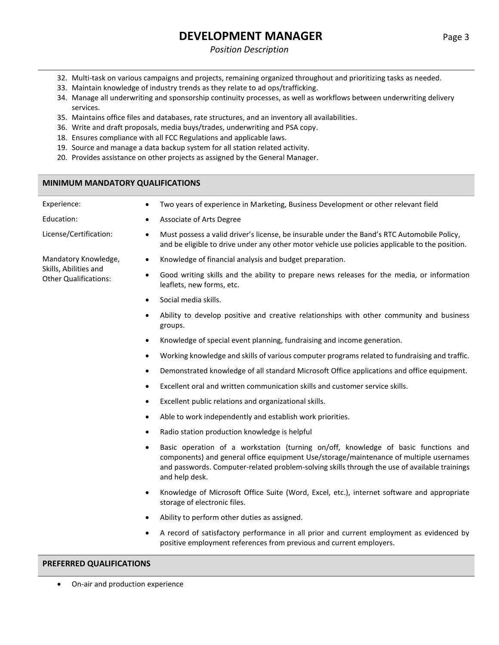### *Position Description*

- 32. Multi-task on various campaigns and projects, remaining organized throughout and prioritizing tasks as needed.
- 33. Maintain knowledge of industry trends as they relate to ad ops/trafficking.
- 34. Manage all underwriting and sponsorship continuity processes, as well as workflows between underwriting delivery services.
- 35. Maintains office files and databases, rate structures, and an inventory all availabilities.
- 36. Write and draft proposals, media buys/trades, underwriting and PSA copy.
- 18. Ensures compliance with all FCC Regulations and applicable laws.
- 19. Source and manage a data backup system for all station related activity.
- 20. Provides assistance on other projects as assigned by the General Manager.

### **MINIMUM MANDATORY QUALIFICATIONS**

| Experience:                                           | ٠         | Two years of experience in Marketing, Business Development or other relevant field                                                                                                                                                                                                              |
|-------------------------------------------------------|-----------|-------------------------------------------------------------------------------------------------------------------------------------------------------------------------------------------------------------------------------------------------------------------------------------------------|
| Education:                                            | $\bullet$ | Associate of Arts Degree                                                                                                                                                                                                                                                                        |
| License/Certification:                                | $\bullet$ | Must possess a valid driver's license, be insurable under the Band's RTC Automobile Policy,<br>and be eligible to drive under any other motor vehicle use policies applicable to the position.                                                                                                  |
| Mandatory Knowledge,                                  | $\bullet$ | Knowledge of financial analysis and budget preparation.                                                                                                                                                                                                                                         |
| Skills, Abilities and<br><b>Other Qualifications:</b> | $\bullet$ | Good writing skills and the ability to prepare news releases for the media, or information<br>leaflets, new forms, etc.                                                                                                                                                                         |
|                                                       | $\bullet$ | Social media skills.                                                                                                                                                                                                                                                                            |
|                                                       | ٠         | Ability to develop positive and creative relationships with other community and business<br>groups.                                                                                                                                                                                             |
|                                                       | $\bullet$ | Knowledge of special event planning, fundraising and income generation.                                                                                                                                                                                                                         |
|                                                       | ٠         | Working knowledge and skills of various computer programs related to fundraising and traffic.                                                                                                                                                                                                   |
|                                                       | $\bullet$ | Demonstrated knowledge of all standard Microsoft Office applications and office equipment.                                                                                                                                                                                                      |
|                                                       | $\bullet$ | Excellent oral and written communication skills and customer service skills.                                                                                                                                                                                                                    |
|                                                       | $\bullet$ | Excellent public relations and organizational skills.                                                                                                                                                                                                                                           |
|                                                       | $\bullet$ | Able to work independently and establish work priorities.                                                                                                                                                                                                                                       |
|                                                       | ٠         | Radio station production knowledge is helpful                                                                                                                                                                                                                                                   |
|                                                       | $\bullet$ | Basic operation of a workstation (turning on/off, knowledge of basic functions and<br>components) and general office equipment Use/storage/maintenance of multiple usernames<br>and passwords. Computer-related problem-solving skills through the use of available trainings<br>and help desk. |
|                                                       | $\bullet$ | Knowledge of Microsoft Office Suite (Word, Excel, etc.), internet software and appropriate<br>storage of electronic files.                                                                                                                                                                      |
|                                                       | ٠         | Ability to perform other duties as assigned.                                                                                                                                                                                                                                                    |
|                                                       | ٠         | A record of satisfactory performance in all prior and current employment as evidenced by<br>positive employment references from previous and current employers.                                                                                                                                 |

### **PREFERRED QUALIFICATIONS**

• On-air and production experience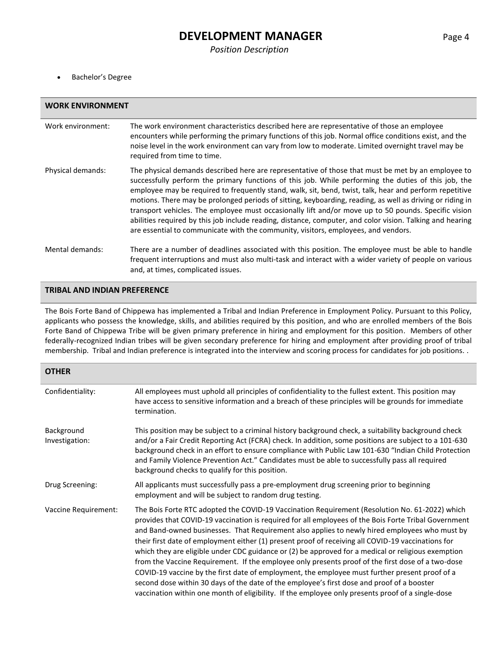• Bachelor's Degree

| <b>WORK ENVIRONMENT</b> |                                                                                                                                                                                                                                                                                                                                                                                                                                                                                                                                                                                                                                                                                                                                               |  |  |
|-------------------------|-----------------------------------------------------------------------------------------------------------------------------------------------------------------------------------------------------------------------------------------------------------------------------------------------------------------------------------------------------------------------------------------------------------------------------------------------------------------------------------------------------------------------------------------------------------------------------------------------------------------------------------------------------------------------------------------------------------------------------------------------|--|--|
| Work environment:       | The work environment characteristics described here are representative of those an employee<br>encounters while performing the primary functions of this job. Normal office conditions exist, and the<br>noise level in the work environment can vary from low to moderate. Limited overnight travel may be<br>required from time to time.                                                                                                                                                                                                                                                                                                                                                                                                    |  |  |
| Physical demands:       | The physical demands described here are representative of those that must be met by an employee to<br>successfully perform the primary functions of this job. While performing the duties of this job, the<br>employee may be required to frequently stand, walk, sit, bend, twist, talk, hear and perform repetitive<br>motions. There may be prolonged periods of sitting, keyboarding, reading, as well as driving or riding in<br>transport vehicles. The employee must occasionally lift and/or move up to 50 pounds. Specific vision<br>abilities required by this job include reading, distance, computer, and color vision. Talking and hearing<br>are essential to communicate with the community, visitors, employees, and vendors. |  |  |
| Mental demands:         | There are a number of deadlines associated with this position. The employee must be able to handle<br>frequent interruptions and must also multi-task and interact with a wider variety of people on various<br>and, at times, complicated issues.                                                                                                                                                                                                                                                                                                                                                                                                                                                                                            |  |  |

#### **TRIBAL AND INDIAN PREFERENCE**

The Bois Forte Band of Chippewa has implemented a Tribal and Indian Preference in Employment Policy. Pursuant to this Policy, applicants who possess the knowledge, skills, and abilities required by this position, and who are enrolled members of the Bois Forte Band of Chippewa Tribe will be given primary preference in hiring and employment for this position. Members of other federally-recognized Indian tribes will be given secondary preference for hiring and employment after providing proof of tribal membership. Tribal and Indian preference is integrated into the interview and scoring process for candidates for job positions. .

| <b>OTHER</b>                 |                                                                                                                                                                                                                                                                                                                                                                                                                                                                                                                                                                                                                                                                                                                                                                                                                                                                                                                               |
|------------------------------|-------------------------------------------------------------------------------------------------------------------------------------------------------------------------------------------------------------------------------------------------------------------------------------------------------------------------------------------------------------------------------------------------------------------------------------------------------------------------------------------------------------------------------------------------------------------------------------------------------------------------------------------------------------------------------------------------------------------------------------------------------------------------------------------------------------------------------------------------------------------------------------------------------------------------------|
| Confidentiality:             | All employees must uphold all principles of confidentiality to the fullest extent. This position may<br>have access to sensitive information and a breach of these principles will be grounds for immediate<br>termination.                                                                                                                                                                                                                                                                                                                                                                                                                                                                                                                                                                                                                                                                                                   |
| Background<br>Investigation: | This position may be subject to a criminal history background check, a suitability background check<br>and/or a Fair Credit Reporting Act (FCRA) check. In addition, some positions are subject to a 101-630<br>background check in an effort to ensure compliance with Public Law 101-630 "Indian Child Protection<br>and Family Violence Prevention Act." Candidates must be able to successfully pass all required<br>background checks to qualify for this position.                                                                                                                                                                                                                                                                                                                                                                                                                                                      |
| Drug Screening:              | All applicants must successfully pass a pre-employment drug screening prior to beginning<br>employment and will be subject to random drug testing.                                                                                                                                                                                                                                                                                                                                                                                                                                                                                                                                                                                                                                                                                                                                                                            |
| Vaccine Requirement:         | The Bois Forte RTC adopted the COVID-19 Vaccination Requirement (Resolution No. 61-2022) which<br>provides that COVID-19 vaccination is required for all employees of the Bois Forte Tribal Government<br>and Band-owned businesses. That Requirement also applies to newly hired employees who must by<br>their first date of employment either (1) present proof of receiving all COVID-19 vaccinations for<br>which they are eligible under CDC guidance or (2) be approved for a medical or religious exemption<br>from the Vaccine Requirement. If the employee only presents proof of the first dose of a two-dose<br>COVID-19 vaccine by the first date of employment, the employee must further present proof of a<br>second dose within 30 days of the date of the employee's first dose and proof of a booster<br>vaccination within one month of eligibility. If the employee only presents proof of a single-dose |